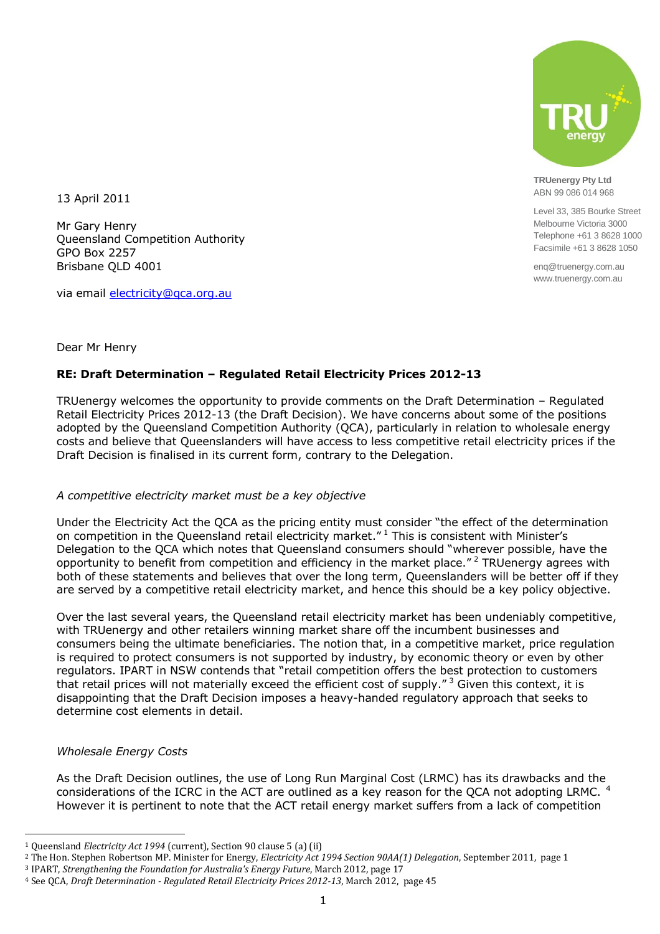

**TRUenergy Pty Ltd** ABN 99 086 014 968

Level 33, 385 Bourke Street Melbourne Victoria 3000 Telephone +61 3 8628 1000 Facsimile +61 3 8628 1050

enq@truenergy.com.au www.truenergy.com.au

13 April 2011

Mr Gary Henry Queensland Competition Authority GPO Box 2257 Brisbane QLD 4001

via email [electricity@qca.org.au](mailto:electricity@qca.org.au)

## Dear Mr Henry

# **RE: Draft Determination – Regulated Retail Electricity Prices 2012-13**

TRUenergy welcomes the opportunity to provide comments on the Draft Determination – Regulated Retail Electricity Prices 2012-13 (the Draft Decision). We have concerns about some of the positions adopted by the Queensland Competition Authority (QCA), particularly in relation to wholesale energy costs and believe that Queenslanders will have access to less competitive retail electricity prices if the Draft Decision is finalised in its current form, contrary to the Delegation.

## *A competitive electricity market must be a key objective*

Under the Electricity Act the QCA as the pricing entity must consider "the effect of the determination on competition in the Queensland retail electricity market." <sup>1</sup> This is consistent with Minister's Delegation to the QCA which notes that Queensland consumers should "wherever possible, have the opportunity to benefit from competition and efficiency in the market place."<sup>2</sup> TRUenergy agrees with both of these statements and believes that over the long term, Queenslanders will be better off if they are served by a competitive retail electricity market, and hence this should be a key policy objective.

Over the last several years, the Queensland retail electricity market has been undeniably competitive, with TRUenergy and other retailers winning market share off the incumbent businesses and consumers being the ultimate beneficiaries. The notion that, in a competitive market, price regulation is required to protect consumers is not supported by industry, by economic theory or even by other regulators. IPART in NSW contends that "retail competition offers the best protection to customers that retail prices will not materially exceed the efficient cost of supply."<sup>3</sup> Given this context, it is disappointing that the Draft Decision imposes a heavy-handed regulatory approach that seeks to determine cost elements in detail.

## *Wholesale Energy Costs*

 $\overline{a}$ 

As the Draft Decision outlines, the use of Long Run Marginal Cost (LRMC) has its drawbacks and the considerations of the ICRC in the ACT are outlined as a key reason for the QCA not adopting LRMC.<sup>4</sup> However it is pertinent to note that the ACT retail energy market suffers from a lack of competition

<sup>1</sup> Queensland *Electricity Act 1994* (current), Section 90 clause 5 (a) (ii)

<sup>2</sup> The Hon. Stephen Robertson MP. Minister for Energy, *Electricity Act 1994 Section 90AA(1) Delegation*, September 2011, page 1

<sup>3</sup> IPART, *Strengthening the Foundation for Australia's Energy Future*, March 2012, page 17

<sup>4</sup> See QCA, *Draft Determination - Regulated Retail Electricity Prices 2012-13*, March 2012, page 45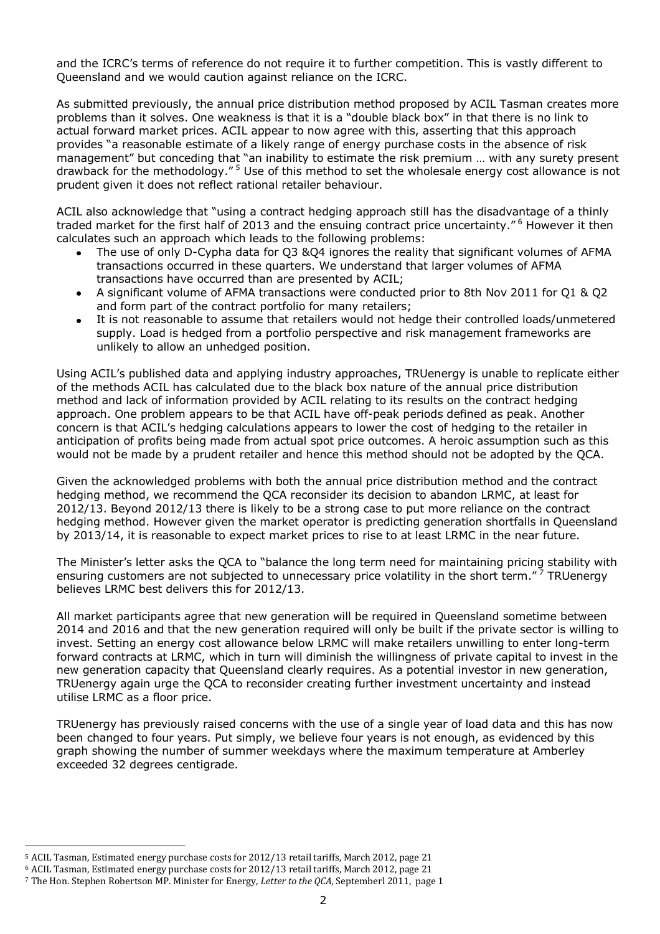and the ICRC's terms of reference do not require it to further competition. This is vastly different to Queensland and we would caution against reliance on the ICRC.

As submitted previously, the annual price distribution method proposed by ACIL Tasman creates more problems than it solves. One weakness is that it is a "double black box" in that there is no link to actual forward market prices. ACIL appear to now agree with this, asserting that this approach provides "a reasonable estimate of a likely range of energy purchase costs in the absence of risk management" but conceding that "an inability to estimate the risk premium … with any surety present drawback for the methodology." <sup>5</sup> Use of this method to set the wholesale energy cost allowance is not prudent given it does not reflect rational retailer behaviour.

ACIL also acknowledge that "using a contract hedging approach still has the disadvantage of a thinly traded market for the first half of 2013 and the ensuing contract price uncertainty." <sup>6</sup> However it then calculates such an approach which leads to the following problems:

- $\bullet$ The use of only D-Cypha data for Q3 &Q4 ignores the reality that significant volumes of AFMA transactions occurred in these quarters. We understand that larger volumes of AFMA transactions have occurred than are presented by ACIL;
- A significant volume of AFMA transactions were conducted prior to 8th Nov 2011 for Q1 & Q2  $\bullet$ and form part of the contract portfolio for many retailers;
- It is not reasonable to assume that retailers would not hedge their controlled loads/unmetered supply. Load is hedged from a portfolio perspective and risk management frameworks are unlikely to allow an unhedged position.

Using ACIL's published data and applying industry approaches, TRUenergy is unable to replicate either of the methods ACIL has calculated due to the black box nature of the annual price distribution method and lack of information provided by ACIL relating to its results on the contract hedging approach. One problem appears to be that ACIL have off-peak periods defined as peak. Another concern is that ACIL's hedging calculations appears to lower the cost of hedging to the retailer in anticipation of profits being made from actual spot price outcomes. A heroic assumption such as this would not be made by a prudent retailer and hence this method should not be adopted by the QCA.

Given the acknowledged problems with both the annual price distribution method and the contract hedging method, we recommend the QCA reconsider its decision to abandon LRMC, at least for 2012/13. Beyond 2012/13 there is likely to be a strong case to put more reliance on the contract hedging method. However given the market operator is predicting generation shortfalls in Queensland by 2013/14, it is reasonable to expect market prices to rise to at least LRMC in the near future.

The Minister's letter asks the QCA to "balance the long term need for maintaining pricing stability with ensuring customers are not subjected to unnecessary price volatility in the short term."<sup>7</sup> TRUenergy believes LRMC best delivers this for 2012/13.

All market participants agree that new generation will be required in Queensland sometime between 2014 and 2016 and that the new generation required will only be built if the private sector is willing to invest. Setting an energy cost allowance below LRMC will make retailers unwilling to enter long-term forward contracts at LRMC, which in turn will diminish the willingness of private capital to invest in the new generation capacity that Queensland clearly requires. As a potential investor in new generation, TRUenergy again urge the QCA to reconsider creating further investment uncertainty and instead utilise LRMC as a floor price.

TRUenergy has previously raised concerns with the use of a single year of load data and this has now been changed to four years. Put simply, we believe four years is not enough, as evidenced by this graph showing the number of summer weekdays where the maximum temperature at Amberley exceeded 32 degrees centigrade.

 $\overline{a}$ <sup>5</sup> ACIL Tasman, Estimated energy purchase costs for 2012/13 retail tariffs, March 2012, page 21

<sup>6</sup> ACIL Tasman, Estimated energy purchase costs for 2012/13 retail tariffs, March 2012, page 21

<sup>7</sup> The Hon. Stephen Robertson MP. Minister for Energy, *Letter to the QCA*, Septemberl 2011, page 1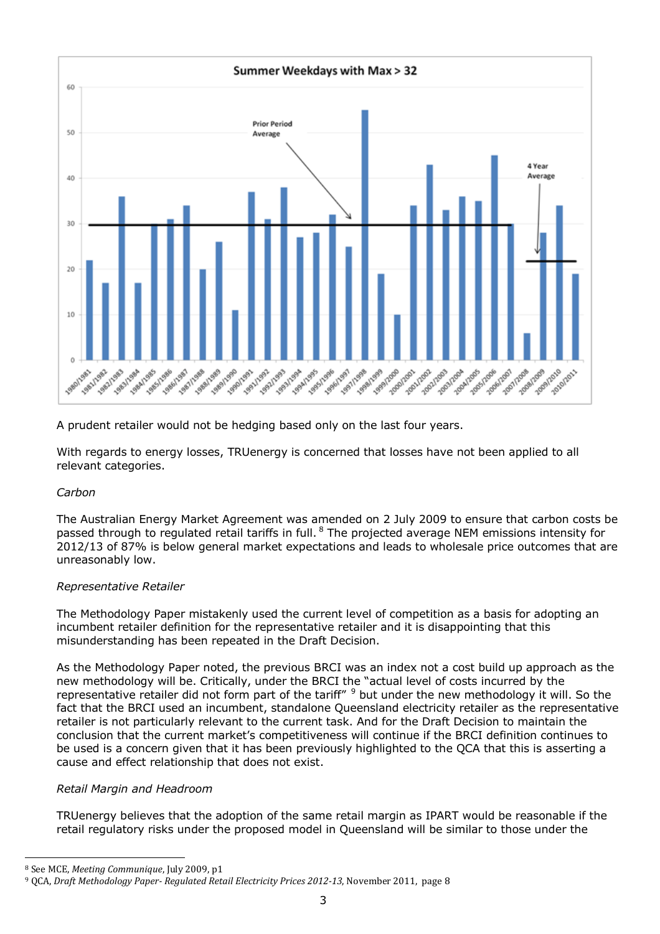

A prudent retailer would not be hedging based only on the last four years.

With regards to energy losses, TRUenergy is concerned that losses have not been applied to all relevant categories.

## *Carbon*

The Australian Energy Market Agreement was amended on 2 July 2009 to ensure that carbon costs be passed through to regulated retail tariffs in full. <sup>8</sup> The projected average NEM emissions intensity for 2012/13 of 87% is below general market expectations and leads to wholesale price outcomes that are unreasonably low.

# *Representative Retailer*

The Methodology Paper mistakenly used the current level of competition as a basis for adopting an incumbent retailer definition for the representative retailer and it is disappointing that this misunderstanding has been repeated in the Draft Decision.

As the Methodology Paper noted, the previous BRCI was an index not a cost build up approach as the new methodology will be. Critically, under the BRCI the "actual level of costs incurred by the representative retailer did not form part of the tariff" <sup>9</sup> but under the new methodology it will. So the fact that the BRCI used an incumbent, standalone Queensland electricity retailer as the representative retailer is not particularly relevant to the current task. And for the Draft Decision to maintain the conclusion that the current market's competitiveness will continue if the BRCI definition continues to be used is a concern given that it has been previously highlighted to the QCA that this is asserting a cause and effect relationship that does not exist.

# *Retail Margin and Headroom*

TRUenergy believes that the adoption of the same retail margin as IPART would be reasonable if the retail regulatory risks under the proposed model in Queensland will be similar to those under the

 $\overline{a}$ 

<sup>8</sup> See MCE, *Meeting Communique*, July 2009, p1

<sup>9</sup> QCA, *Draft Methodology Paper- Regulated Retail Electricity Prices 2012-13*, November 2011, page 8